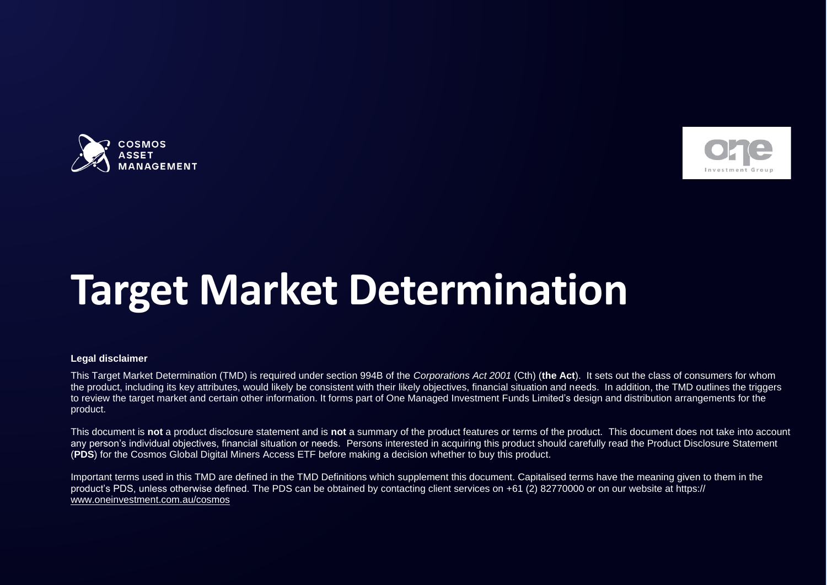



# **Target Market Determination**

#### **Legal disclaimer**

This Target Market Determination (TMD) is required under section 994B of the *Corporations Act 2001* (Cth) (**the Act**). It sets out the class of consumers for whom the product, including its key attributes, would likely be consistent with their likely objectives, financial situation and needs. In addition, the TMD outlines the triggers to review the target market and certain other information. It forms part of One Managed Investment Funds Limited's design and distribution arrangements for the product.

This document is **not** a product disclosure statement and is **not** a summary of the product features or terms of the product. This document does not take into account any person's individual objectives, financial situation or needs. Persons interested in acquiring this product should carefully read the Product Disclosure Statement (**PDS**) for the Cosmos Global Digital Miners Access ETF before making a decision whether to buy this product.

Important terms used in this TMD are defined in the TMD Definitions which supplement this document. Capitalised terms have the meaning given to them in the product's PDS, unless otherwise defined. The PDS can be obtained by contacting client services on +61 (2) 82770000 or on our website at https:// [www.oneinvestment.com.au/cosmos](http://www.oneinvestment.com.au/cosmos)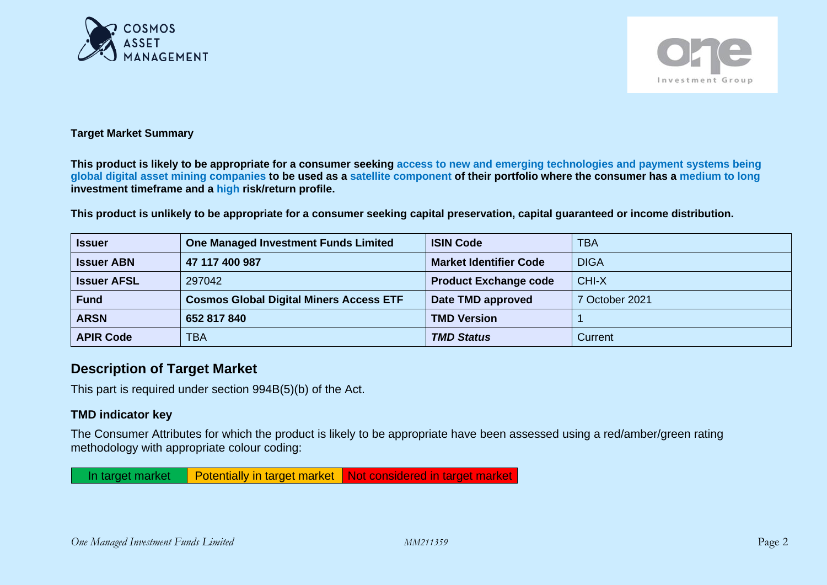



#### **Target Market Summary**

**This product is likely to be appropriate for a consumer seeking access to new and emerging technologies and payment systems being global digital asset mining companies to be used as a satellite component of their portfolio where the consumer has a medium to long investment timeframe and a high risk/return profile.**

**This product is unlikely to be appropriate for a consumer seeking capital preservation, capital guaranteed or income distribution.**

| <b>Issuer</b>      | <b>One Managed Investment Funds Limited</b>    | <b>ISIN Code</b>              | <b>TBA</b>     |
|--------------------|------------------------------------------------|-------------------------------|----------------|
| <b>Issuer ABN</b>  | 47 117 400 987                                 | <b>Market Identifier Code</b> | <b>DIGA</b>    |
| <b>Issuer AFSL</b> | 297042                                         | <b>Product Exchange code</b>  | CHI-X          |
| <b>Fund</b>        | <b>Cosmos Global Digital Miners Access ETF</b> | Date TMD approved             | 7 October 2021 |
| <b>ARSN</b>        | 652 817 840                                    | <b>TMD Version</b>            |                |
| <b>APIR Code</b>   | <b>TBA</b>                                     | <b>TMD Status</b>             | Current        |

# **Description of Target Market**

This part is required under section 994B(5)(b) of the Act.

# **TMD indicator key**

The Consumer Attributes for which the product is likely to be appropriate have been assessed using a red/amber/green rating methodology with appropriate colour coding:

In target market  $\Box$  Potentially in target market  $\Box$  Not considered in target market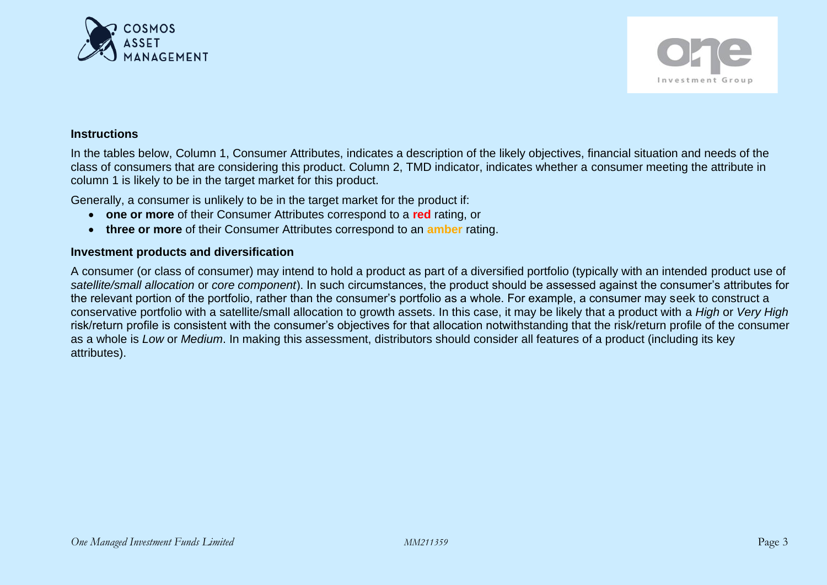



## **Instructions**

In the tables below, Column 1, Consumer Attributes, indicates a description of the likely objectives, financial situation and needs of the class of consumers that are considering this product. Column 2, TMD indicator, indicates whether a consumer meeting the attribute in column 1 is likely to be in the target market for this product.

Generally, a consumer is unlikely to be in the target market for the product if:

- **one or more** of their Consumer Attributes correspond to a **red** rating, or
- **three or more** of their Consumer Attributes correspond to an **amber** rating.

## **Investment products and diversification**

A consumer (or class of consumer) may intend to hold a product as part of a diversified portfolio (typically with an intended product use of *satellite/small allocation* or *core component*). In such circumstances, the product should be assessed against the consumer's attributes for the relevant portion of the portfolio, rather than the consumer's portfolio as a whole. For example, a consumer may seek to construct a conservative portfolio with a satellite/small allocation to growth assets. In this case, it may be likely that a product with a *High* or *Very High* risk/return profile is consistent with the consumer's objectives for that allocation notwithstanding that the risk/return profile of the consumer as a whole is *Low* or *Medium*. In making this assessment, distributors should consider all features of a product (including its key attributes).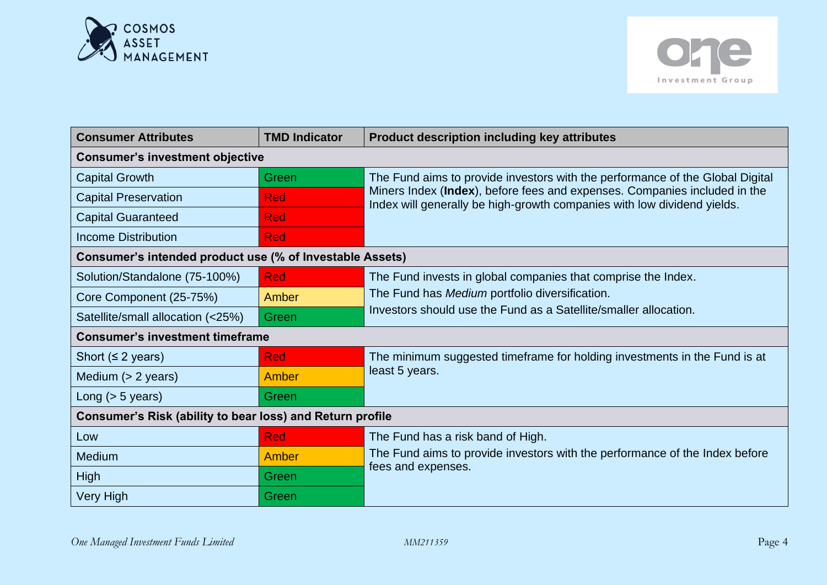



| <b>Consumer Attributes</b>                                | <b>TMD Indicator</b> | <b>Product description including key attributes</b>                                                                                                  |  |
|-----------------------------------------------------------|----------------------|------------------------------------------------------------------------------------------------------------------------------------------------------|--|
| <b>Consumer's investment objective</b>                    |                      |                                                                                                                                                      |  |
| <b>Capital Growth</b>                                     | Green                | The Fund aims to provide investors with the performance of the Global Digital                                                                        |  |
| <b>Capital Preservation</b>                               | <b>Red</b>           | Miners Index (Index), before fees and expenses. Companies included in the<br>Index will generally be high-growth companies with low dividend yields. |  |
| <b>Capital Guaranteed</b>                                 | <b>Red</b>           |                                                                                                                                                      |  |
| <b>Income Distribution</b>                                | <b>Red</b>           |                                                                                                                                                      |  |
| Consumer's intended product use (% of Investable Assets)  |                      |                                                                                                                                                      |  |
| Solution/Standalone (75-100%)                             | <b>Red</b>           | The Fund invests in global companies that comprise the Index.                                                                                        |  |
| Core Component (25-75%)                                   | Amber                | The Fund has Medium portfolio diversification.                                                                                                       |  |
| Satellite/small allocation (<25%)                         | Green                | Investors should use the Fund as a Satellite/smaller allocation.                                                                                     |  |
| <b>Consumer's investment timeframe</b>                    |                      |                                                                                                                                                      |  |
| Short ( $\leq$ 2 years)                                   | <b>Red</b>           | The minimum suggested timeframe for holding investments in the Fund is at                                                                            |  |
| Medium $(> 2$ years)                                      | Amber                | least 5 years.                                                                                                                                       |  |
| Long $(> 5$ years)                                        | Green                |                                                                                                                                                      |  |
| Consumer's Risk (ability to bear loss) and Return profile |                      |                                                                                                                                                      |  |
| Low                                                       | <b>Red</b>           | The Fund has a risk band of High.                                                                                                                    |  |
| Medium                                                    | Amber                | The Fund aims to provide investors with the performance of the Index before                                                                          |  |
| <b>High</b>                                               | Green                | fees and expenses.                                                                                                                                   |  |
| <b>Very High</b>                                          | Green                |                                                                                                                                                      |  |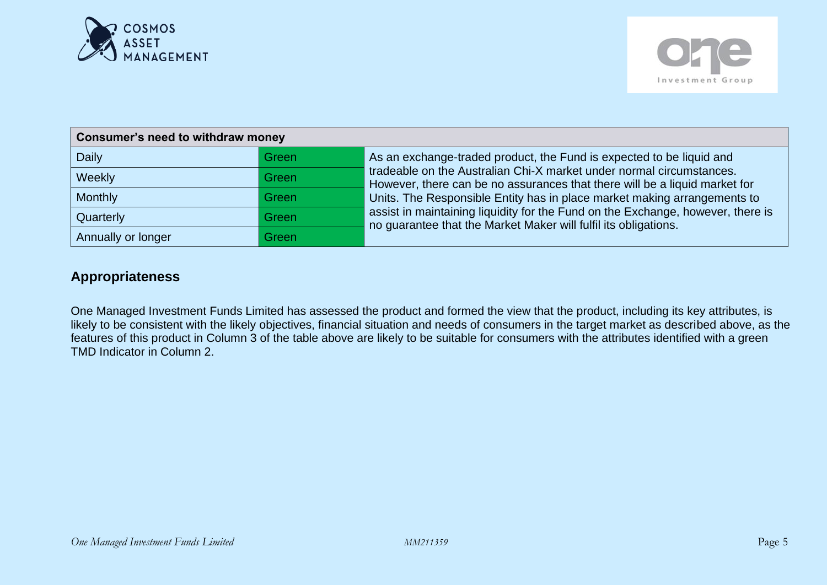



| Consumer's need to withdraw money |       |                                                                                                                                                                                                                                                                                                                                                                                      |  |
|-----------------------------------|-------|--------------------------------------------------------------------------------------------------------------------------------------------------------------------------------------------------------------------------------------------------------------------------------------------------------------------------------------------------------------------------------------|--|
| <b>Daily</b>                      | Green | As an exchange-traded product, the Fund is expected to be liquid and                                                                                                                                                                                                                                                                                                                 |  |
| Weekly                            | Green | tradeable on the Australian Chi-X market under normal circumstances.<br>However, there can be no assurances that there will be a liquid market for<br>Units. The Responsible Entity has in place market making arrangements to<br>assist in maintaining liquidity for the Fund on the Exchange, however, there is<br>no guarantee that the Market Maker will fulfil its obligations. |  |
| Monthly                           | Green |                                                                                                                                                                                                                                                                                                                                                                                      |  |
| Quarterly                         | Green |                                                                                                                                                                                                                                                                                                                                                                                      |  |
| Annually or longer                | Green |                                                                                                                                                                                                                                                                                                                                                                                      |  |

# **Appropriateness**

One Managed Investment Funds Limited has assessed the product and formed the view that the product, including its key attributes, is likely to be consistent with the likely objectives, financial situation and needs of consumers in the target market as described above, as the features of this product in Column 3 of the table above are likely to be suitable for consumers with the attributes identified with a green TMD Indicator in Column 2.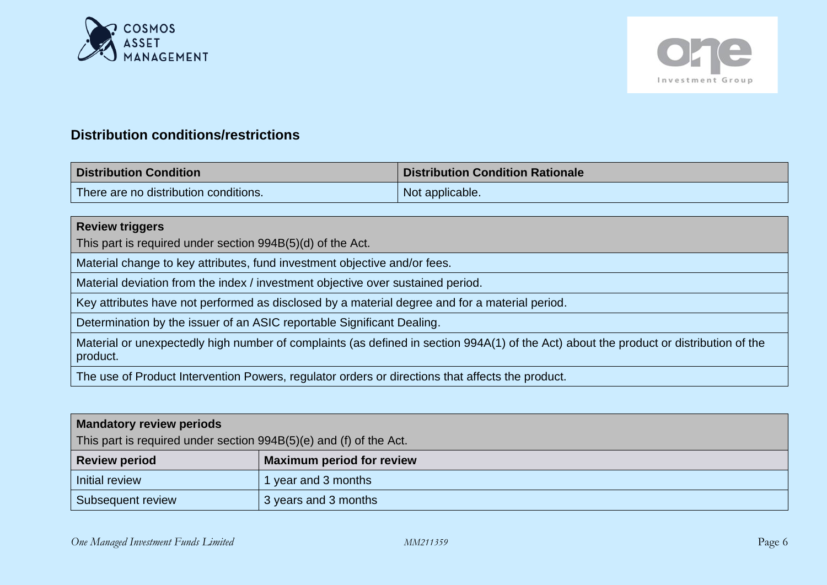



# **Distribution conditions/restrictions**

| <b>Distribution Condition</b>         | <b>Distribution Condition Rationale</b> |
|---------------------------------------|-----------------------------------------|
| There are no distribution conditions. | Not applicable.                         |

# **Review triggers**

This part is required under section 994B(5)(d) of the Act.

Material change to key attributes, fund investment objective and/or fees.

Material deviation from the index / investment objective over sustained period.

Key attributes have not performed as disclosed by a material degree and for a material period.

Determination by the issuer of an ASIC reportable Significant Dealing.

Material or unexpectedly high number of complaints (as defined in section 994A(1) of the Act) about the product or distribution of the product.

The use of Product Intervention Powers, regulator orders or directions that affects the product.

## **Mandatory review periods**

This part is required under section 994B(5)(e) and (f) of the Act.

| <b>Review period</b> | <b>Maximum period for review</b> |
|----------------------|----------------------------------|
| Initial review       | 1 year and 3 months              |
| Subsequent review    | 3 years and 3 months             |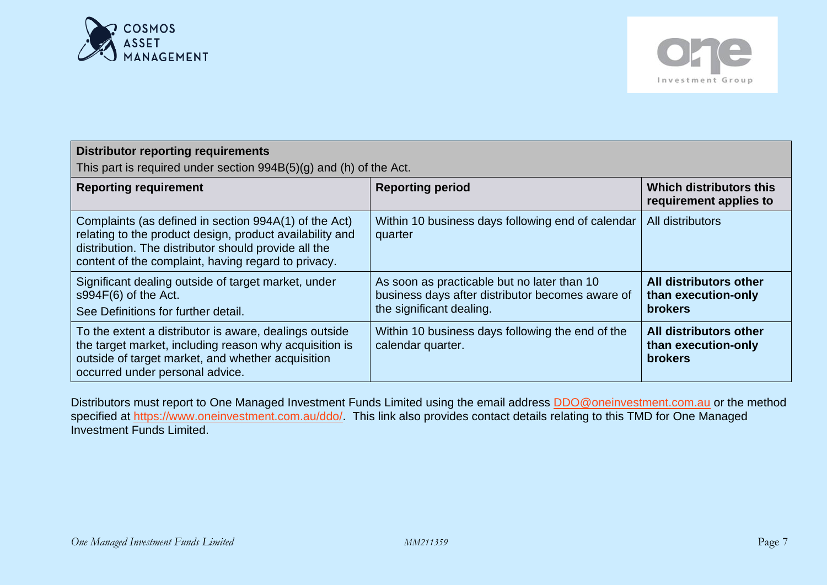



| <b>Distributor reporting requirements</b><br>This part is required under section $994B(5)(g)$ and (h) of the Act.                                                                                                                |                                                                                                                             |                                                                 |  |
|----------------------------------------------------------------------------------------------------------------------------------------------------------------------------------------------------------------------------------|-----------------------------------------------------------------------------------------------------------------------------|-----------------------------------------------------------------|--|
| <b>Reporting requirement</b>                                                                                                                                                                                                     | <b>Reporting period</b>                                                                                                     | Which distributors this<br>requirement applies to               |  |
| Complaints (as defined in section 994A(1) of the Act)<br>relating to the product design, product availability and<br>distribution. The distributor should provide all the<br>content of the complaint, having regard to privacy. | Within 10 business days following end of calendar<br>quarter                                                                | All distributors                                                |  |
| Significant dealing outside of target market, under<br>$s994F(6)$ of the Act.<br>See Definitions for further detail.                                                                                                             | As soon as practicable but no later than 10<br>business days after distributor becomes aware of<br>the significant dealing. | All distributors other<br>than execution-only<br><b>brokers</b> |  |
| To the extent a distributor is aware, dealings outside<br>the target market, including reason why acquisition is<br>outside of target market, and whether acquisition<br>occurred under personal advice.                         | Within 10 business days following the end of the<br>calendar quarter.                                                       | All distributors other<br>than execution-only<br><b>brokers</b> |  |

Distributors must report to One Managed Investment Funds Limited using the email address **DDO@oneinvestment.com.au** or the method specified at [https://www.oneinvestment.com.au/ddo/.](https://www.oneinvestment.com.au/ddo/) This link also provides contact details relating to this TMD for One Managed Investment Funds Limited.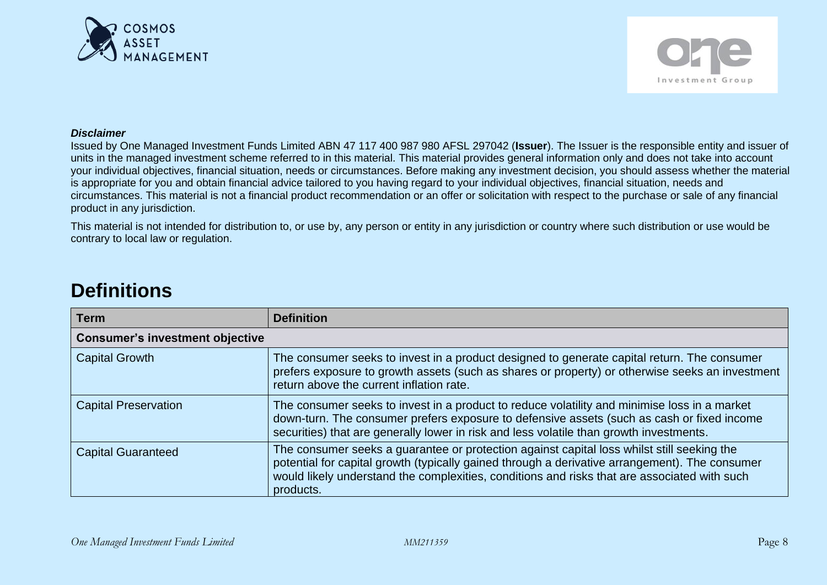



#### *Disclaimer*

Issued by One Managed Investment Funds Limited ABN 47 117 400 987 980 AFSL 297042 (**Issuer**). The Issuer is the responsible entity and issuer of units in the managed investment scheme referred to in this material. This material provides general information only and does not take into account your individual objectives, financial situation, needs or circumstances. Before making any investment decision, you should assess whether the material is appropriate for you and obtain financial advice tailored to you having regard to your individual objectives, financial situation, needs and circumstances. This material is not a financial product recommendation or an offer or solicitation with respect to the purchase or sale of any financial product in any jurisdiction.

This material is not intended for distribution to, or use by, any person or entity in any jurisdiction or country where such distribution or use would be contrary to local law or regulation.

# **Definitions**

| <b>Term</b>                            | <b>Definition</b>                                                                                                                                                                                                                                                                                         |
|----------------------------------------|-----------------------------------------------------------------------------------------------------------------------------------------------------------------------------------------------------------------------------------------------------------------------------------------------------------|
| <b>Consumer's investment objective</b> |                                                                                                                                                                                                                                                                                                           |
| <b>Capital Growth</b>                  | The consumer seeks to invest in a product designed to generate capital return. The consumer<br>prefers exposure to growth assets (such as shares or property) or otherwise seeks an investment<br>return above the current inflation rate.                                                                |
| <b>Capital Preservation</b>            | The consumer seeks to invest in a product to reduce volatility and minimise loss in a market<br>down-turn. The consumer prefers exposure to defensive assets (such as cash or fixed income<br>securities) that are generally lower in risk and less volatile than growth investments.                     |
| <b>Capital Guaranteed</b>              | The consumer seeks a guarantee or protection against capital loss whilst still seeking the<br>potential for capital growth (typically gained through a derivative arrangement). The consumer<br>would likely understand the complexities, conditions and risks that are associated with such<br>products. |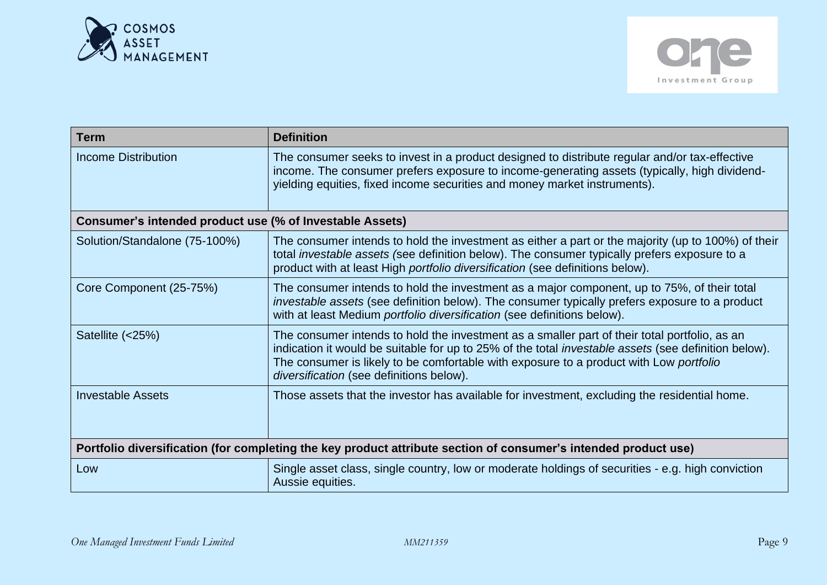



| <b>Term</b>                                                                                                     | <b>Definition</b>                                                                                                                                                                                                                                                                                                                                  |  |
|-----------------------------------------------------------------------------------------------------------------|----------------------------------------------------------------------------------------------------------------------------------------------------------------------------------------------------------------------------------------------------------------------------------------------------------------------------------------------------|--|
| <b>Income Distribution</b>                                                                                      | The consumer seeks to invest in a product designed to distribute regular and/or tax-effective<br>income. The consumer prefers exposure to income-generating assets (typically, high dividend-<br>yielding equities, fixed income securities and money market instruments).                                                                         |  |
| Consumer's intended product use (% of Investable Assets)                                                        |                                                                                                                                                                                                                                                                                                                                                    |  |
| Solution/Standalone (75-100%)                                                                                   | The consumer intends to hold the investment as either a part or the majority (up to 100%) of their<br>total <i>investable assets (see definition below)</i> . The consumer typically prefers exposure to a<br>product with at least High portfolio diversification (see definitions below).                                                        |  |
| Core Component (25-75%)                                                                                         | The consumer intends to hold the investment as a major component, up to 75%, of their total<br>investable assets (see definition below). The consumer typically prefers exposure to a product<br>with at least Medium portfolio diversification (see definitions below).                                                                           |  |
| Satellite (<25%)                                                                                                | The consumer intends to hold the investment as a smaller part of their total portfolio, as an<br>indication it would be suitable for up to 25% of the total <i>investable assets</i> (see definition below).<br>The consumer is likely to be comfortable with exposure to a product with Low portfolio<br>diversification (see definitions below). |  |
| <b>Investable Assets</b>                                                                                        | Those assets that the investor has available for investment, excluding the residential home.                                                                                                                                                                                                                                                       |  |
| Portfolio diversification (for completing the key product attribute section of consumer's intended product use) |                                                                                                                                                                                                                                                                                                                                                    |  |
| Low                                                                                                             | Single asset class, single country, low or moderate holdings of securities - e.g. high conviction<br>Aussie equities.                                                                                                                                                                                                                              |  |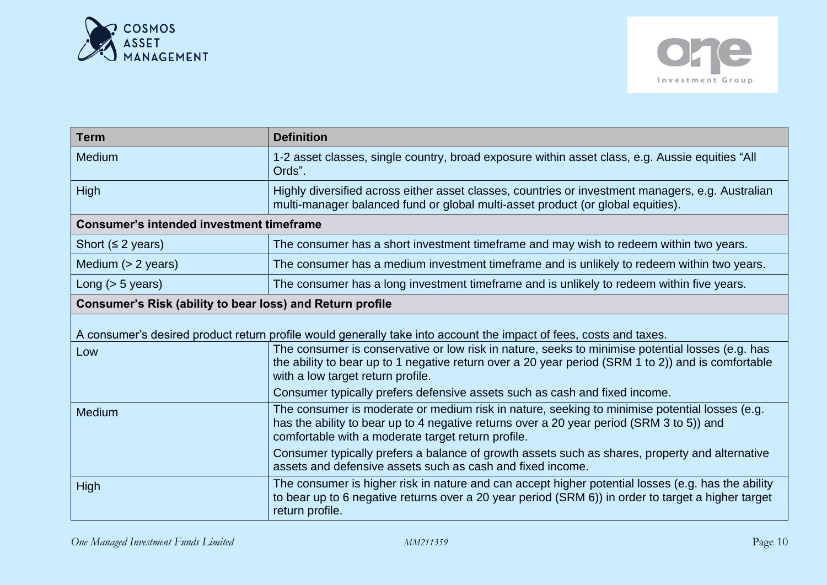



| <b>Term</b>                                               | <b>Definition</b>                                                                                                                                                                                                                               |
|-----------------------------------------------------------|-------------------------------------------------------------------------------------------------------------------------------------------------------------------------------------------------------------------------------------------------|
| Medium                                                    | 1-2 asset classes, single country, broad exposure within asset class, e.g. Aussie equities "All<br>Ords".                                                                                                                                       |
| <b>High</b>                                               | Highly diversified across either asset classes, countries or investment managers, e.g. Australian<br>multi-manager balanced fund or global multi-asset product (or global equities).                                                            |
| <b>Consumer's intended investment timeframe</b>           |                                                                                                                                                                                                                                                 |
| Short $(≤ 2 years)$                                       | The consumer has a short investment timeframe and may wish to redeem within two years.                                                                                                                                                          |
| Medium $(> 2$ years)                                      | The consumer has a medium investment timeframe and is unlikely to redeem within two years.                                                                                                                                                      |
| Long $(> 5$ years)                                        | The consumer has a long investment timeframe and is unlikely to redeem within five years.                                                                                                                                                       |
| Consumer's Risk (ability to bear loss) and Return profile |                                                                                                                                                                                                                                                 |
|                                                           | A consumer's desired product return profile would generally take into account the impact of fees, costs and taxes.                                                                                                                              |
| Low                                                       | The consumer is conservative or low risk in nature, seeks to minimise potential losses (e.g. has<br>the ability to bear up to 1 negative return over a 20 year period (SRM 1 to 2)) and is comfortable<br>with a low target return profile.     |
|                                                           | Consumer typically prefers defensive assets such as cash and fixed income.                                                                                                                                                                      |
| Medium                                                    | The consumer is moderate or medium risk in nature, seeking to minimise potential losses (e.g.<br>has the ability to bear up to 4 negative returns over a 20 year period (SRM 3 to 5)) and<br>comfortable with a moderate target return profile. |
|                                                           | Consumer typically prefers a balance of growth assets such as shares, property and alternative<br>assets and defensive assets such as cash and fixed income.                                                                                    |
| High                                                      | The consumer is higher risk in nature and can accept higher potential losses (e.g. has the ability<br>to bear up to 6 negative returns over a 20 year period (SRM 6)) in order to target a higher target<br>return profile.                     |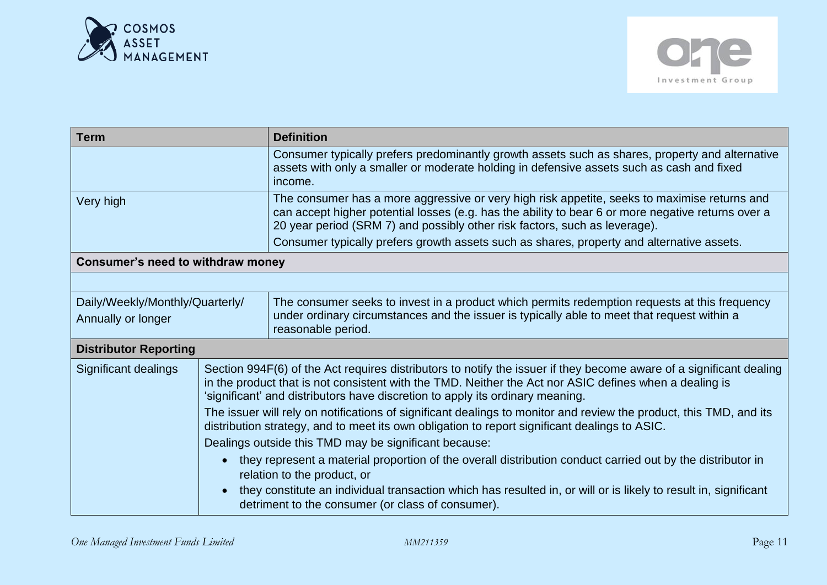



| <b>Term</b>                                           |                                                                                                                                                                                                                                                                                                                | <b>Definition</b>                                                                                                                                                                                                                                                                |  |
|-------------------------------------------------------|----------------------------------------------------------------------------------------------------------------------------------------------------------------------------------------------------------------------------------------------------------------------------------------------------------------|----------------------------------------------------------------------------------------------------------------------------------------------------------------------------------------------------------------------------------------------------------------------------------|--|
|                                                       |                                                                                                                                                                                                                                                                                                                | Consumer typically prefers predominantly growth assets such as shares, property and alternative<br>assets with only a smaller or moderate holding in defensive assets such as cash and fixed<br>income.                                                                          |  |
| Very high                                             |                                                                                                                                                                                                                                                                                                                | The consumer has a more aggressive or very high risk appetite, seeks to maximise returns and<br>can accept higher potential losses (e.g. has the ability to bear 6 or more negative returns over a<br>20 year period (SRM 7) and possibly other risk factors, such as leverage). |  |
|                                                       |                                                                                                                                                                                                                                                                                                                | Consumer typically prefers growth assets such as shares, property and alternative assets.                                                                                                                                                                                        |  |
| Consumer's need to withdraw money                     |                                                                                                                                                                                                                                                                                                                |                                                                                                                                                                                                                                                                                  |  |
|                                                       |                                                                                                                                                                                                                                                                                                                |                                                                                                                                                                                                                                                                                  |  |
| Daily/Weekly/Monthly/Quarterly/<br>Annually or longer |                                                                                                                                                                                                                                                                                                                | The consumer seeks to invest in a product which permits redemption requests at this frequency<br>under ordinary circumstances and the issuer is typically able to meet that request within a<br>reasonable period.                                                               |  |
| <b>Distributor Reporting</b>                          |                                                                                                                                                                                                                                                                                                                |                                                                                                                                                                                                                                                                                  |  |
| Significant dealings                                  | Section 994F(6) of the Act requires distributors to notify the issuer if they become aware of a significant dealing<br>in the product that is not consistent with the TMD. Neither the Act nor ASIC defines when a dealing is<br>'significant' and distributors have discretion to apply its ordinary meaning. |                                                                                                                                                                                                                                                                                  |  |
|                                                       | The issuer will rely on notifications of significant dealings to monitor and review the product, this TMD, and its<br>distribution strategy, and to meet its own obligation to report significant dealings to ASIC.                                                                                            |                                                                                                                                                                                                                                                                                  |  |
|                                                       |                                                                                                                                                                                                                                                                                                                | Dealings outside this TMD may be significant because:                                                                                                                                                                                                                            |  |
|                                                       |                                                                                                                                                                                                                                                                                                                | they represent a material proportion of the overall distribution conduct carried out by the distributor in<br>relation to the product, or                                                                                                                                        |  |
| detriment to the consumer (or class of consumer).     |                                                                                                                                                                                                                                                                                                                | they constitute an individual transaction which has resulted in, or will or is likely to result in, significant                                                                                                                                                                  |  |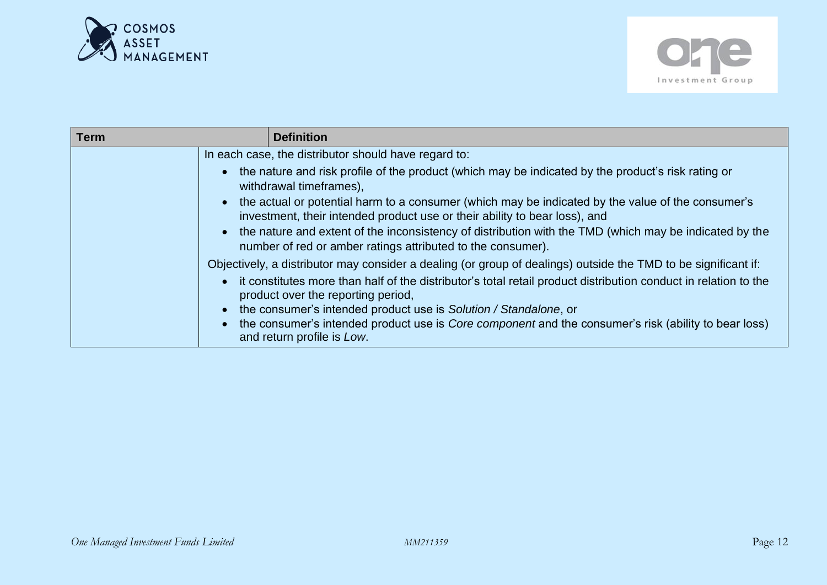



| Term |                                                                                                                | <b>Definition</b>                                                                                                                                                               |
|------|----------------------------------------------------------------------------------------------------------------|---------------------------------------------------------------------------------------------------------------------------------------------------------------------------------|
|      | In each case, the distributor should have regard to:                                                           |                                                                                                                                                                                 |
|      |                                                                                                                | the nature and risk profile of the product (which may be indicated by the product's risk rating or<br>withdrawal timeframes),                                                   |
|      |                                                                                                                | the actual or potential harm to a consumer (which may be indicated by the value of the consumer's<br>investment, their intended product use or their ability to bear loss), and |
|      |                                                                                                                | the nature and extent of the inconsistency of distribution with the TMD (which may be indicated by the<br>number of red or amber ratings attributed to the consumer).           |
|      | Objectively, a distributor may consider a dealing (or group of dealings) outside the TMD to be significant if: |                                                                                                                                                                                 |
|      |                                                                                                                | it constitutes more than half of the distributor's total retail product distribution conduct in relation to the<br>product over the reporting period,                           |
|      |                                                                                                                | the consumer's intended product use is Solution / Standalone, or                                                                                                                |
|      |                                                                                                                | the consumer's intended product use is <i>Core component</i> and the consumer's risk (ability to bear loss)<br>and return profile is Low.                                       |